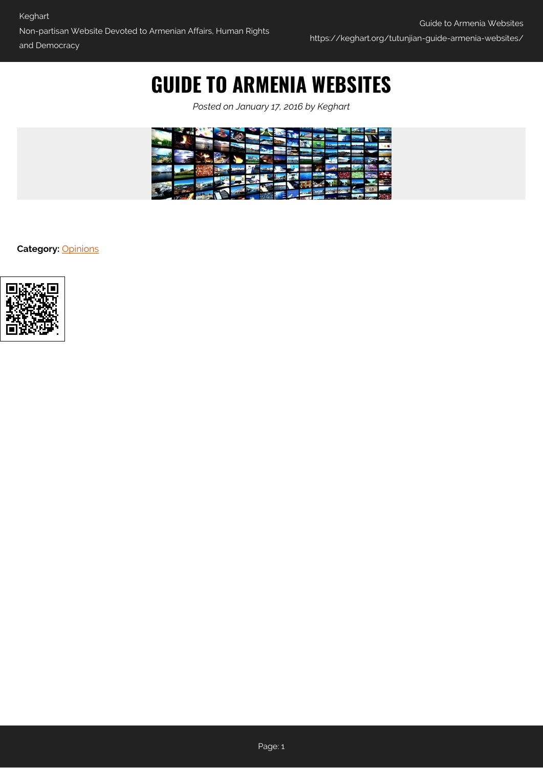# **GUIDE TO ARMENIA WEBSITES**

*Posted on January 17, 2016 by Keghart*



**Category:** [Opinions](https://keghart.org/category/opinions/)

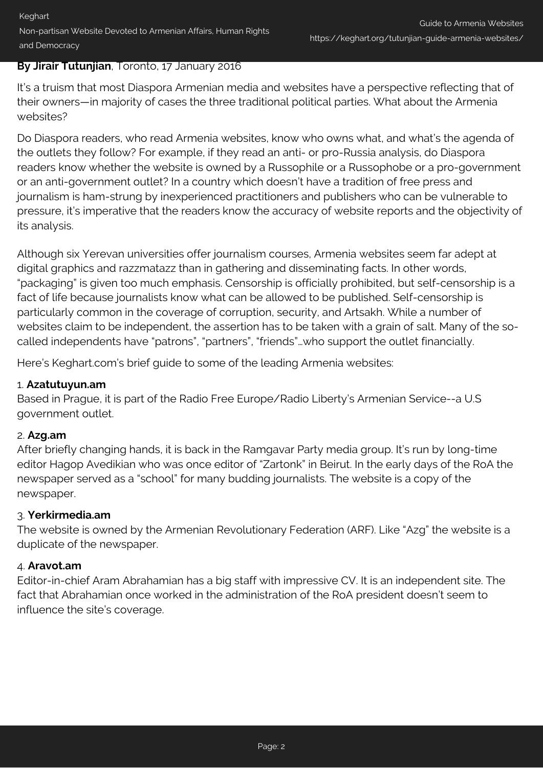# **By Jirair Tutunjian**, Toronto, 17 January 2016

It's a truism that most Diaspora Armenian media and websites have a perspective reflecting that of their owners—in majority of cases the three traditional political parties. What about the Armenia websites?

Do Diaspora readers, who read Armenia websites, know who owns what, and what's the agenda of the outlets they follow? For example, if they read an anti- or pro-Russia analysis, do Diaspora readers know whether the website is owned by a Russophile or a Russophobe or a pro-government or an anti-government outlet? In a country which doesn't have a tradition of free press and journalism is ham-strung by inexperienced practitioners and publishers who can be vulnerable to pressure, it's imperative that the readers know the accuracy of website reports and the objectivity of its analysis.

Although six Yerevan universities offer journalism courses, Armenia websites seem far adept at digital graphics and razzmatazz than in gathering and disseminating facts. In other words, "packaging" is given too much emphasis. Censorship is officially prohibited, but self-censorship is a fact of life because journalists know what can be allowed to be published. Self-censorship is particularly common in the coverage of corruption, security, and Artsakh. While a number of websites claim to be independent, the assertion has to be taken with a grain of salt. Many of the socalled independents have "patrons", "partners", "friends"…who support the outlet financially.

Here's Keghart.com's brief guide to some of the leading Armenia websites:

### 1. **Azatutuyun.am**

Based in Prague, it is part of the Radio Free Europe/Radio Liberty's Armenian Service--a U.S government outlet.

#### 2. **Azg.am**

After briefly changing hands, it is back in the Ramgavar Party media group. It's run by long-time editor Hagop Avedikian who was once editor of "Zartonk" in Beirut. In the early days of the RoA the newspaper served as a "school" for many budding journalists. The website is a copy of the newspaper.

#### 3. **Yerkirmedia.am**

The website is owned by the Armenian Revolutionary Federation (ARF). Like "Azg" the website is a duplicate of the newspaper.

#### 4. **Aravot.am**

Editor-in-chief Aram Abrahamian has a big staff with impressive CV. It is an independent site. The fact that Abrahamian once worked in the administration of the RoA president doesn't seem to influence the site's coverage.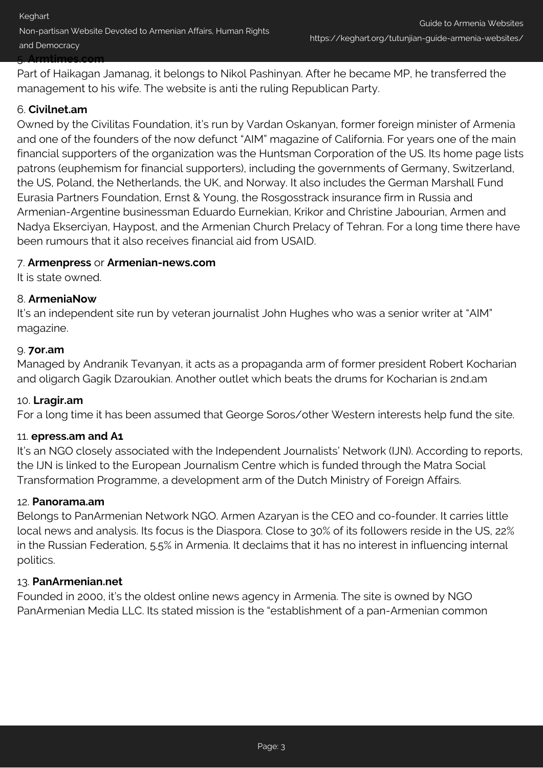# 5. **Armtimes.com**

Part of Haikagan Jamanag, it belongs to Nikol Pashinyan. After he became MP, he transferred the management to his wife. The website is anti the ruling Republican Party.

# 6. **Civilnet.am**

Owned by the Civilitas Foundation, it's run by Vardan Oskanyan, former foreign minister of Armenia and one of the founders of the now defunct "AIM" magazine of California. For years one of the main financial supporters of the organization was the Huntsman Corporation of the US. Its home page lists patrons (euphemism for financial supporters), including the governments of Germany, Switzerland, the US, Poland, the Netherlands, the UK, and Norway. It also includes the German Marshall Fund Eurasia Partners Foundation, Ernst & Young, the Rosgosstrack insurance firm in Russia and Armenian-Argentine businessman Eduardo Eurnekian, Krikor and Christine Jabourian, Armen and Nadya Ekserciyan, Haypost, and the Armenian Church Prelacy of Tehran. For a long time there have been rumours that it also receives financial aid from USAID.

## 7. **Armenpress** or **Armenian-news.com**

It is state owned.

#### 8. **ArmeniaNow**

It's an independent site run by veteran journalist John Hughes who was a senior writer at "AIM" magazine.

#### 9. **7or.am**

Managed by Andranik Tevanyan, it acts as a propaganda arm of former president Robert Kocharian and oligarch Gagik Dzaroukian. Another outlet which beats the drums for Kocharian is 2nd.am

#### 10. **Lragir.am**

For a long time it has been assumed that George Soros/other Western interests help fund the site.

#### 11. **epress.am and A1**

It's an NGO closely associated with the Independent Journalists' Network (IJN). According to reports, the IJN is linked to the European Journalism Centre which is funded through the Matra Social Transformation Programme, a development arm of the Dutch Ministry of Foreign Affairs.

#### 12. **Panorama.am**

Belongs to PanArmenian Network NGO. Armen Azaryan is the CEO and co-founder. It carries little local news and analysis. Its focus is the Diaspora. Close to 30% of its followers reside in the US, 22% in the Russian Federation, 5.5% in Armenia. It declaims that it has no interest in influencing internal politics.

#### 13. **PanArmenian.net**

Founded in 2000, it's the oldest online news agency in Armenia. The site is owned by NGO PanArmenian Media LLC. Its stated mission is the "establishment of a pan-Armenian common